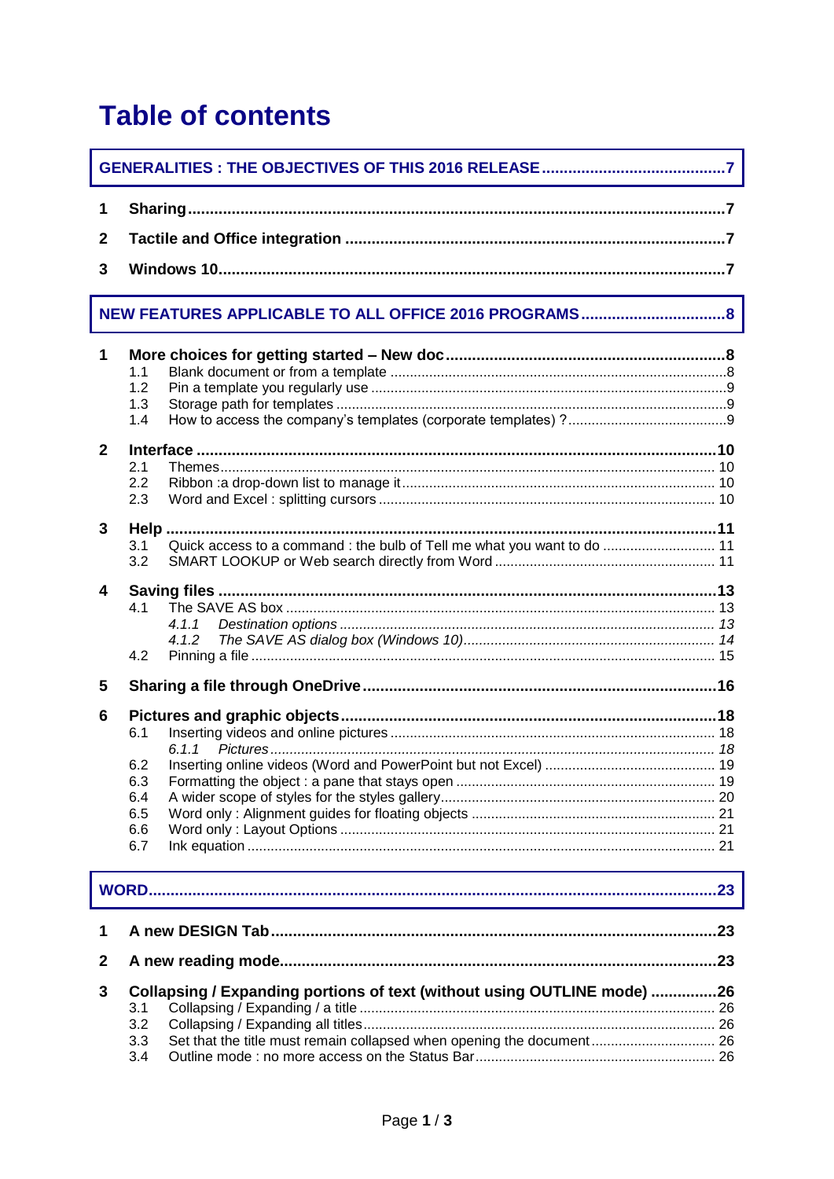## **Table of contents**

| <u> 1989 - Johann Barn, mars ar breithinn ar chuid ann an t-Alban ann an t-Alban ann an t-Alban ann an t-Alban a</u> |                                                                                       |  |  |  |  |
|----------------------------------------------------------------------------------------------------------------------|---------------------------------------------------------------------------------------|--|--|--|--|
| 1                                                                                                                    |                                                                                       |  |  |  |  |
| $\mathbf{2}$                                                                                                         |                                                                                       |  |  |  |  |
| 3                                                                                                                    |                                                                                       |  |  |  |  |
| NEW FEATURES APPLICABLE TO ALL OFFICE 2016 PROGRAMS 8                                                                |                                                                                       |  |  |  |  |
| 1                                                                                                                    | 1.1<br>1.2<br>1.3<br>1.4                                                              |  |  |  |  |
| $\mathbf{2}$                                                                                                         | 2.1<br>2.2<br>2.3                                                                     |  |  |  |  |
| 3                                                                                                                    | Quick access to a command : the bulb of Tell me what you want to do  11<br>3.1<br>3.2 |  |  |  |  |
| 4                                                                                                                    | 4.1<br>4.1.1<br>4.1.2<br>4.2                                                          |  |  |  |  |
| 5                                                                                                                    |                                                                                       |  |  |  |  |
| 6                                                                                                                    | 6.1<br>6.1.1<br>6.2<br>6.3<br>6.4<br>6.5<br>6.6<br>6.7                                |  |  |  |  |
|                                                                                                                      |                                                                                       |  |  |  |  |
| 1                                                                                                                    |                                                                                       |  |  |  |  |
| 2                                                                                                                    | . 23                                                                                  |  |  |  |  |
| 3                                                                                                                    | Collapsing / Expanding portions of text (without using OUTLINE mode) 26               |  |  |  |  |

| 3.3 Set that the title must remain collapsed when opening the document 26 |  |
|---------------------------------------------------------------------------|--|
|                                                                           |  |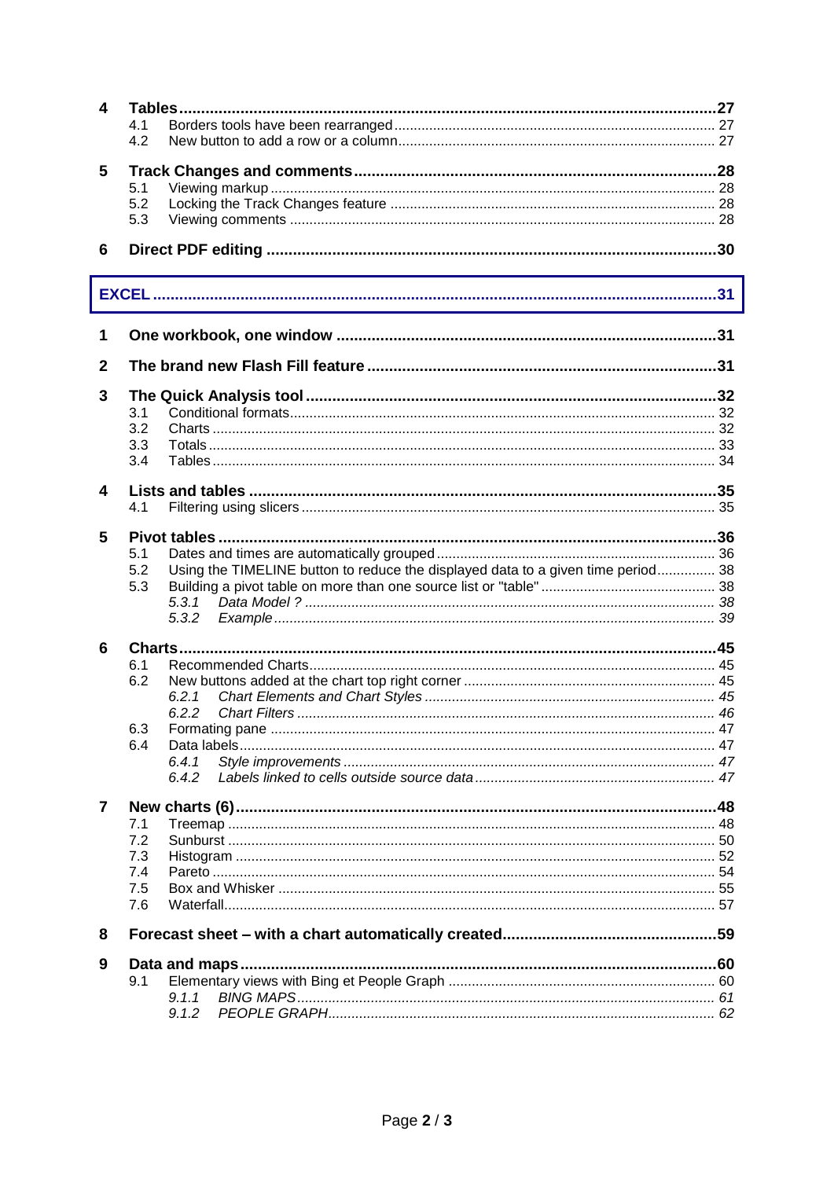| 4            |                                                                                                |  |  |  |  |  |  |
|--------------|------------------------------------------------------------------------------------------------|--|--|--|--|--|--|
|              | 4.1                                                                                            |  |  |  |  |  |  |
|              | 4.2                                                                                            |  |  |  |  |  |  |
| 5            |                                                                                                |  |  |  |  |  |  |
|              | 5.1                                                                                            |  |  |  |  |  |  |
|              | 5.2                                                                                            |  |  |  |  |  |  |
|              | 5.3                                                                                            |  |  |  |  |  |  |
|              |                                                                                                |  |  |  |  |  |  |
| 6            |                                                                                                |  |  |  |  |  |  |
|              |                                                                                                |  |  |  |  |  |  |
|              |                                                                                                |  |  |  |  |  |  |
|              | ,我们也不能在这里的时候,我们也不能在这里的时候,我们也不能会在这里的时候,我们也不能会在这里的时候,我们也不能会在这里的时候,我们也不能会在这里的时候,我们也               |  |  |  |  |  |  |
| 1            |                                                                                                |  |  |  |  |  |  |
| $\mathbf{2}$ |                                                                                                |  |  |  |  |  |  |
|              |                                                                                                |  |  |  |  |  |  |
| 3            |                                                                                                |  |  |  |  |  |  |
|              | 3.1                                                                                            |  |  |  |  |  |  |
|              | 3.2                                                                                            |  |  |  |  |  |  |
|              | 3.3<br>3.4                                                                                     |  |  |  |  |  |  |
|              |                                                                                                |  |  |  |  |  |  |
| 4            |                                                                                                |  |  |  |  |  |  |
|              | 4.1                                                                                            |  |  |  |  |  |  |
|              |                                                                                                |  |  |  |  |  |  |
| 5            |                                                                                                |  |  |  |  |  |  |
|              | 5.1<br>5.2<br>Using the TIMELINE button to reduce the displayed data to a given time period 38 |  |  |  |  |  |  |
|              | 5.3                                                                                            |  |  |  |  |  |  |
|              | 5.3.1                                                                                          |  |  |  |  |  |  |
|              | 5.3.2                                                                                          |  |  |  |  |  |  |
|              |                                                                                                |  |  |  |  |  |  |
| 6            |                                                                                                |  |  |  |  |  |  |
|              | 6.1                                                                                            |  |  |  |  |  |  |
|              | 6.2<br>6.2.1                                                                                   |  |  |  |  |  |  |
|              | 6.2.2                                                                                          |  |  |  |  |  |  |
|              | 6.3                                                                                            |  |  |  |  |  |  |
|              | 6.4                                                                                            |  |  |  |  |  |  |
|              | 6.4.1                                                                                          |  |  |  |  |  |  |
|              | 6.4.2                                                                                          |  |  |  |  |  |  |
| 7            |                                                                                                |  |  |  |  |  |  |
|              | 7.1                                                                                            |  |  |  |  |  |  |
|              | 7.2                                                                                            |  |  |  |  |  |  |
|              | 7.3                                                                                            |  |  |  |  |  |  |
|              | 7.4                                                                                            |  |  |  |  |  |  |
|              | 7.5                                                                                            |  |  |  |  |  |  |
|              | 7.6                                                                                            |  |  |  |  |  |  |
| 8            |                                                                                                |  |  |  |  |  |  |
|              |                                                                                                |  |  |  |  |  |  |
| 9            |                                                                                                |  |  |  |  |  |  |
|              | 9.1                                                                                            |  |  |  |  |  |  |
|              | 9.1.1                                                                                          |  |  |  |  |  |  |
|              | 9.1.2                                                                                          |  |  |  |  |  |  |